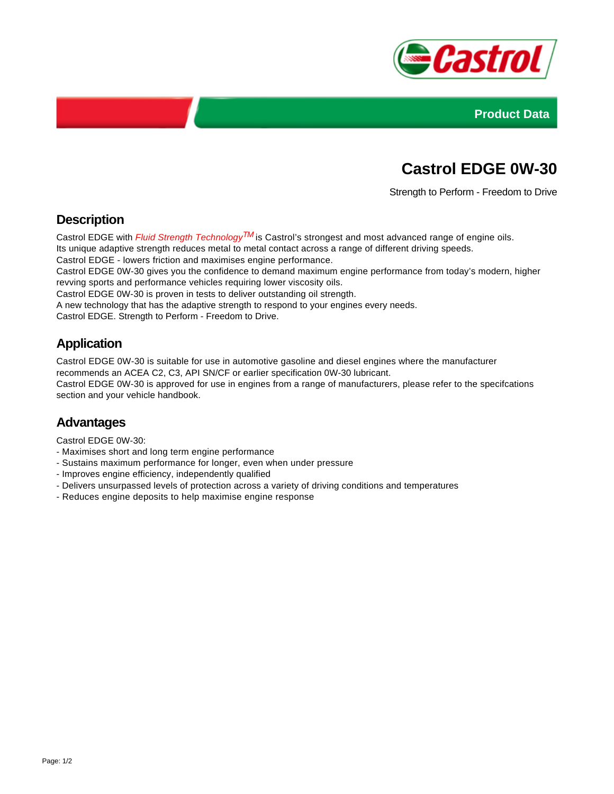



# **Castrol EDGE 0W-30**

Strength to Perform - Freedom to Drive

### **Description**

Castrol EDGE with *Fluid Strength Technology*<sup>TM</sup> is Castrol's strongest and most advanced range of engine oils. Its unique adaptive strength reduces metal to metal contact across a range of different driving speeds. Castrol EDGE - lowers friction and maximises engine performance.

Castrol EDGE 0W-30 gives you the confidence to demand maximum engine performance from today's modern, higher revving sports and performance vehicles requiring lower viscosity oils. Castrol EDGE 0W-30 is proven in tests to deliver outstanding oil strength.

A new technology that has the adaptive strength to respond to your engines every needs.

Castrol EDGE. Strength to Perform - Freedom to Drive.

## **Application**

Castrol EDGE 0W-30 is suitable for use in automotive gasoline and diesel engines where the manufacturer recommends an ACEA C2, C3, API SN/CF or earlier specification 0W-30 lubricant. Castrol EDGE 0W-30 is approved for use in engines from a range of manufacturers, please refer to the specifcations section and your vehicle handbook.

#### **Advantages**

Castrol EDGE 0W-30:

- Maximises short and long term engine performance
- Sustains maximum performance for longer, even when under pressure
- Improves engine efficiency, independently qualified
- Delivers unsurpassed levels of protection across a variety of driving conditions and temperatures
- Reduces engine deposits to help maximise engine response